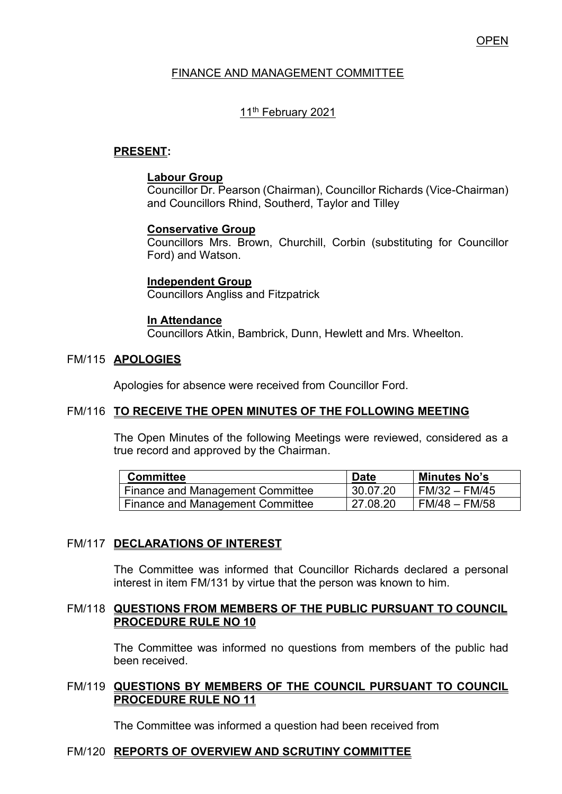### **OPEN**

### FINANCE AND MANAGEMENT COMMITTEE

### 11<sup>th</sup> February 2021

### **PRESENT:**

#### **Labour Group**

Councillor Dr. Pearson (Chairman), Councillor Richards (Vice-Chairman) and Councillors Rhind, Southerd, Taylor and Tilley

#### **Conservative Group**

Councillors Mrs. Brown, Churchill, Corbin (substituting for Councillor Ford) and Watson.

#### **Independent Group**

Councillors Angliss and Fitzpatrick

#### **In Attendance**

Councillors Atkin, Bambrick, Dunn, Hewlett and Mrs. Wheelton.

#### FM/115 **APOLOGIES**

Apologies for absence were received from Councillor Ford.

#### FM/116 **TO RECEIVE THE OPEN MINUTES OF THE FOLLOWING MEETING**

The Open Minutes of the following Meetings were reviewed, considered as a true record and approved by the Chairman.

| <b>Committee</b>                        | <b>Date</b> | Minutes No's    |
|-----------------------------------------|-------------|-----------------|
| Finance and Management Committee        | 30.07.20    | FM/32 – FM/45   |
| <b>Finance and Management Committee</b> | 127.08.20   | l FM/48 – FM/58 |

#### FM/117 **DECLARATIONS OF INTEREST**

The Committee was informed that Councillor Richards declared a personal interest in item FM/131 by virtue that the person was known to him.

#### FM/118 **QUESTIONS FROM MEMBERS OF THE PUBLIC PURSUANT TO COUNCIL PROCEDURE RULE NO 10**

 The Committee was informed no questions from members of the public had been received.

#### FM/119 **QUESTIONS BY MEMBERS OF THE COUNCIL PURSUANT TO COUNCIL PROCEDURE RULE NO 11**

The Committee was informed a question had been received from

#### FM/120 **REPORTS OF OVERVIEW AND SCRUTINY COMMITTEE**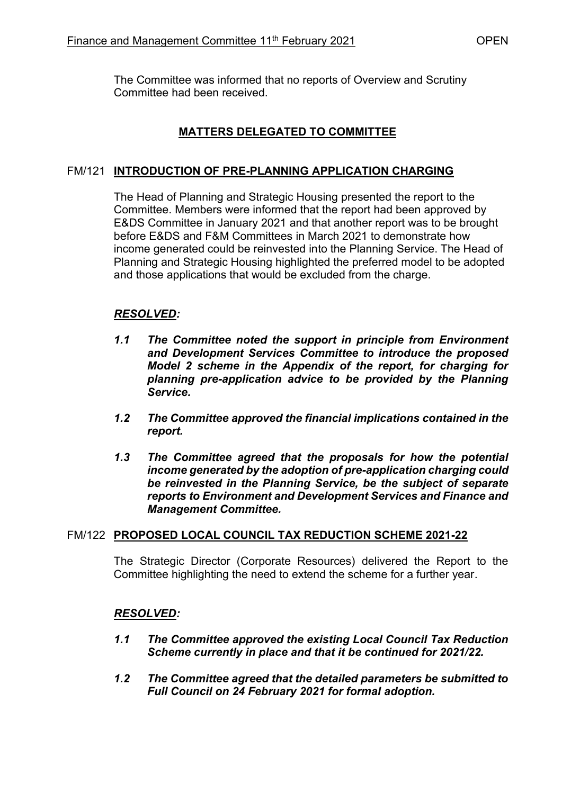The Committee was informed that no reports of Overview and Scrutiny Committee had been received.

# **MATTERS DELEGATED TO COMMITTEE**

### FM/121 **INTRODUCTION OF PRE-PLANNING APPLICATION CHARGING**

The Head of Planning and Strategic Housing presented the report to the Committee. Members were informed that the report had been approved by E&DS Committee in January 2021 and that another report was to be brought before E&DS and F&M Committees in March 2021 to demonstrate how income generated could be reinvested into the Planning Service. The Head of Planning and Strategic Housing highlighted the preferred model to be adopted and those applications that would be excluded from the charge.

### *RESOLVED:*

- *1.1 The Committee noted the support in principle from Environment and Development Services Committee to introduce the proposed Model 2 scheme in the Appendix of the report, for charging for planning pre-application advice to be provided by the Planning Service.*
- *1.2 The Committee approved the financial implications contained in the report.*
- *1.3 The Committee agreed that the proposals for how the potential income generated by the adoption of pre-application charging could be reinvested in the Planning Service, be the subject of separate reports to Environment and Development Services and Finance and Management Committee.*

#### FM/122 **PROPOSED LOCAL COUNCIL TAX REDUCTION SCHEME 2021-22**

The Strategic Director (Corporate Resources) delivered the Report to the Committee highlighting the need to extend the scheme for a further year.

#### *RESOLVED:*

- *1.1 The Committee approved the existing Local Council Tax Reduction Scheme currently in place and that it be continued for 2021/22.*
- *1.2 The Committee agreed that the detailed parameters be submitted to Full Council on 24 February 2021 for formal adoption.*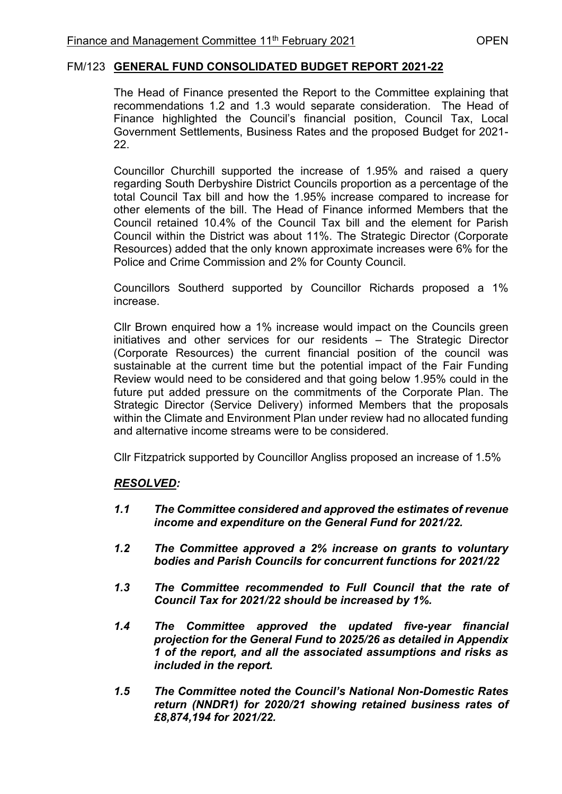### FM/123 **GENERAL FUND CONSOLIDATED BUDGET REPORT 2021-22**

The Head of Finance presented the Report to the Committee explaining that recommendations 1.2 and 1.3 would separate consideration. The Head of Finance highlighted the Council's financial position, Council Tax, Local Government Settlements, Business Rates and the proposed Budget for 2021- 22.

Councillor Churchill supported the increase of 1.95% and raised a query regarding South Derbyshire District Councils proportion as a percentage of the total Council Tax bill and how the 1.95% increase compared to increase for other elements of the bill. The Head of Finance informed Members that the Council retained 10.4% of the Council Tax bill and the element for Parish Council within the District was about 11%. The Strategic Director (Corporate Resources) added that the only known approximate increases were 6% for the Police and Crime Commission and 2% for County Council.

Councillors Southerd supported by Councillor Richards proposed a 1% increase.

Cllr Brown enquired how a 1% increase would impact on the Councils green initiatives and other services for our residents – The Strategic Director (Corporate Resources) the current financial position of the council was sustainable at the current time but the potential impact of the Fair Funding Review would need to be considered and that going below 1.95% could in the future put added pressure on the commitments of the Corporate Plan. The Strategic Director (Service Delivery) informed Members that the proposals within the Climate and Environment Plan under review had no allocated funding and alternative income streams were to be considered.

Cllr Fitzpatrick supported by Councillor Angliss proposed an increase of 1.5%

# *RESOLVED:*

- *1.1 The Committee considered and approved the estimates of revenue income and expenditure on the General Fund for 2021/22.*
- *1.2 The Committee approved a 2% increase on grants to voluntary bodies and Parish Councils for concurrent functions for 2021/22*
- *1.3 The Committee recommended to Full Council that the rate of Council Tax for 2021/22 should be increased by 1%.*
- *1.4 The Committee approved the updated five-year financial projection for the General Fund to 2025/26 as detailed in Appendix 1 of the report, and all the associated assumptions and risks as included in the report.*
- *1.5 The Committee noted the Council's National Non-Domestic Rates return (NNDR1) for 2020/21 showing retained business rates of £8,874,194 for 2021/22.*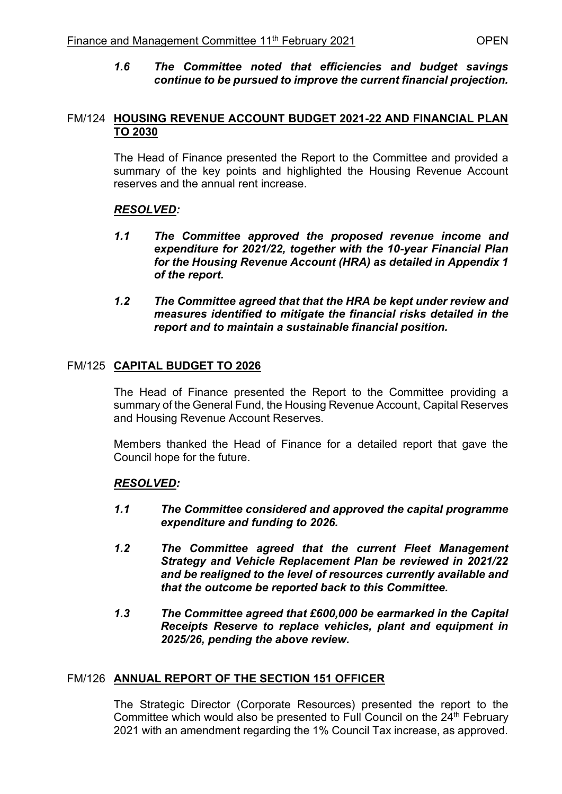*1.6 The Committee noted that efficiencies and budget savings continue to be pursued to improve the current financial projection.* 

### FM/124 **HOUSING REVENUE ACCOUNT BUDGET 2021-22 AND FINANCIAL PLAN TO 2030**

The Head of Finance presented the Report to the Committee and provided a summary of the key points and highlighted the Housing Revenue Account reserves and the annual rent increase.

# *RESOLVED:*

- *1.1 The Committee approved the proposed revenue income and expenditure for 2021/22, together with the 10-year Financial Plan for the Housing Revenue Account (HRA) as detailed in Appendix 1 of the report.*
- *1.2 The Committee agreed that that the HRA be kept under review and measures identified to mitigate the financial risks detailed in the report and to maintain a sustainable financial position.*

# FM/125 **CAPITAL BUDGET TO 2026**

The Head of Finance presented the Report to the Committee providing a summary of the General Fund, the Housing Revenue Account, Capital Reserves and Housing Revenue Account Reserves.

Members thanked the Head of Finance for a detailed report that gave the Council hope for the future.

# *RESOLVED:*

- *1.1 The Committee considered and approved the capital programme expenditure and funding to 2026.*
- *1.2 The Committee agreed that the current Fleet Management Strategy and Vehicle Replacement Plan be reviewed in 2021/22 and be realigned to the level of resources currently available and that the outcome be reported back to this Committee.*
- *1.3 The Committee agreed that £600,000 be earmarked in the Capital Receipts Reserve to replace vehicles, plant and equipment in 2025/26, pending the above review.*

# FM/126 **ANNUAL REPORT OF THE SECTION 151 OFFICER**

The Strategic Director (Corporate Resources) presented the report to the Committee which would also be presented to Full Council on the 24<sup>th</sup> February 2021 with an amendment regarding the 1% Council Tax increase, as approved.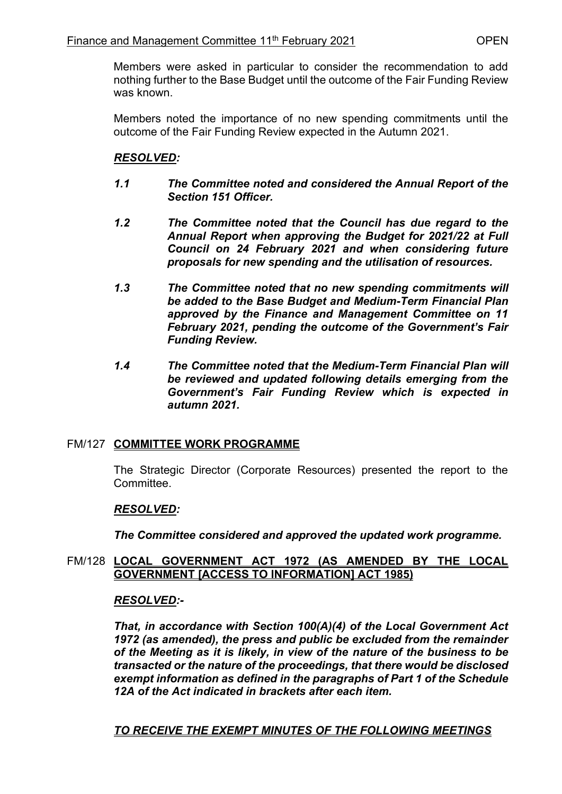Members were asked in particular to consider the recommendation to add nothing further to the Base Budget until the outcome of the Fair Funding Review was known.

Members noted the importance of no new spending commitments until the outcome of the Fair Funding Review expected in the Autumn 2021.

### *RESOLVED:*

- *1.1 The Committee noted and considered the Annual Report of the Section 151 Officer.*
- *1.2 The Committee noted that the Council has due regard to the Annual Report when approving the Budget for 2021/22 at Full Council on 24 February 2021 and when considering future proposals for new spending and the utilisation of resources.*
- *1.3 The Committee noted that no new spending commitments will be added to the Base Budget and Medium-Term Financial Plan approved by the Finance and Management Committee on 11 February 2021, pending the outcome of the Government's Fair Funding Review.*
- *1.4 The Committee noted that the Medium-Term Financial Plan will be reviewed and updated following details emerging from the Government's Fair Funding Review which is expected in autumn 2021.*

#### FM/127 **COMMITTEE WORK PROGRAMME**

The Strategic Director (Corporate Resources) presented the report to the Committee.

#### *RESOLVED:*

*The Committee considered and approved the updated work programme.* 

#### FM/128 **LOCAL GOVERNMENT ACT 1972 (AS AMENDED BY THE LOCAL GOVERNMENT [ACCESS TO INFORMATION] ACT 1985)**

#### *RESOLVED:-*

*That, in accordance with Section 100(A)(4) of the Local Government Act 1972 (as amended), the press and public be excluded from the remainder of the Meeting as it is likely, in view of the nature of the business to be transacted or the nature of the proceedings, that there would be disclosed exempt information as defined in the paragraphs of Part 1 of the Schedule 12A of the Act indicated in brackets after each item.* 

*TO RECEIVE THE EXEMPT MINUTES OF THE FOLLOWING MEETINGS*